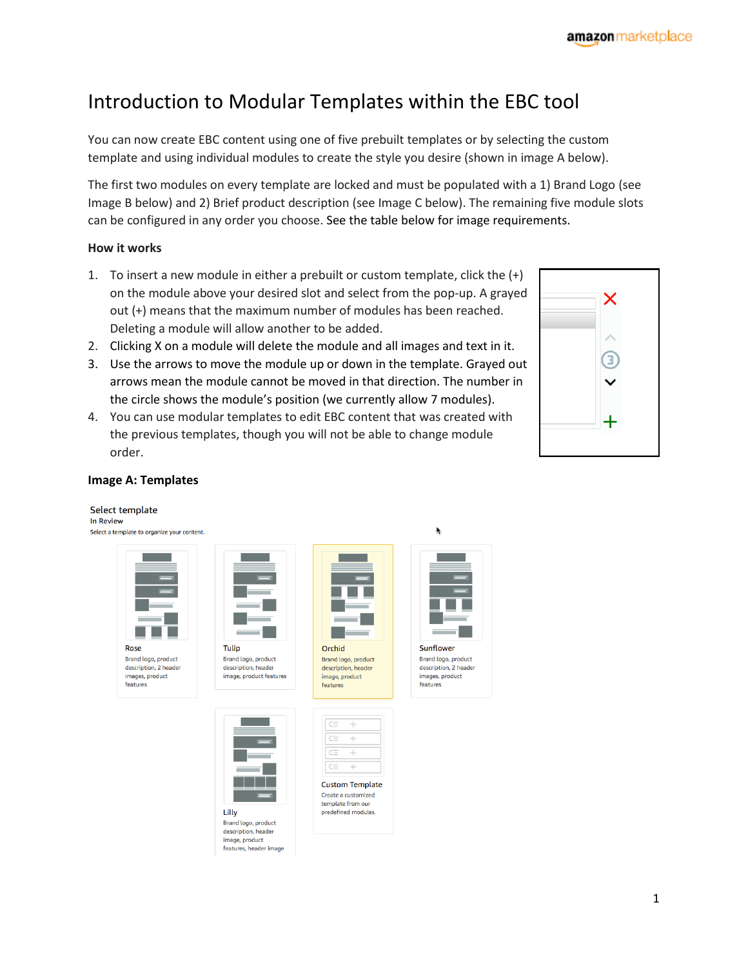# Introduction to Modular Templates within the EBC tool

You can now create EBC content using one of five prebuilt templates or by selecting the custom template and using individual modules to create the style you desire (shown in image A below).

The first two modules on every template are locked and must be populated with a 1) Brand Logo (see Image B below) and 2) Brief product description (see Image C below). The remaining five module slots can be configured in any order you choose. See the table below for image requirements.

#### **How it works**

- 1. To insert a new module in either a prebuilt or custom template, click the (+) on the module above your desired slot and select from the pop-up. A grayed out (+) means that the maximum number of modules has been reached. Deleting a module will allow another to be added.
- 2. Clicking X on a module will delete the module and all images and text in it.
- 3. Use the arrows to move the module up or down in the template. Grayed out arrows mean the module cannot be moved in that direction. The number in the circle shows the module's position (we currently allow 7 modules).
- 4. You can use modular templates to edit EBC content that was created with the previous templates, though you will not be able to change module order.



#### **Image A: Templates**

#### Select template In Review Select a template to organize your content.









J. Ŧ J.

> **Custom Template** Create a customized template from our predefined modules.

Lilly Brand logo, product description, header image, product features, header image

Tulip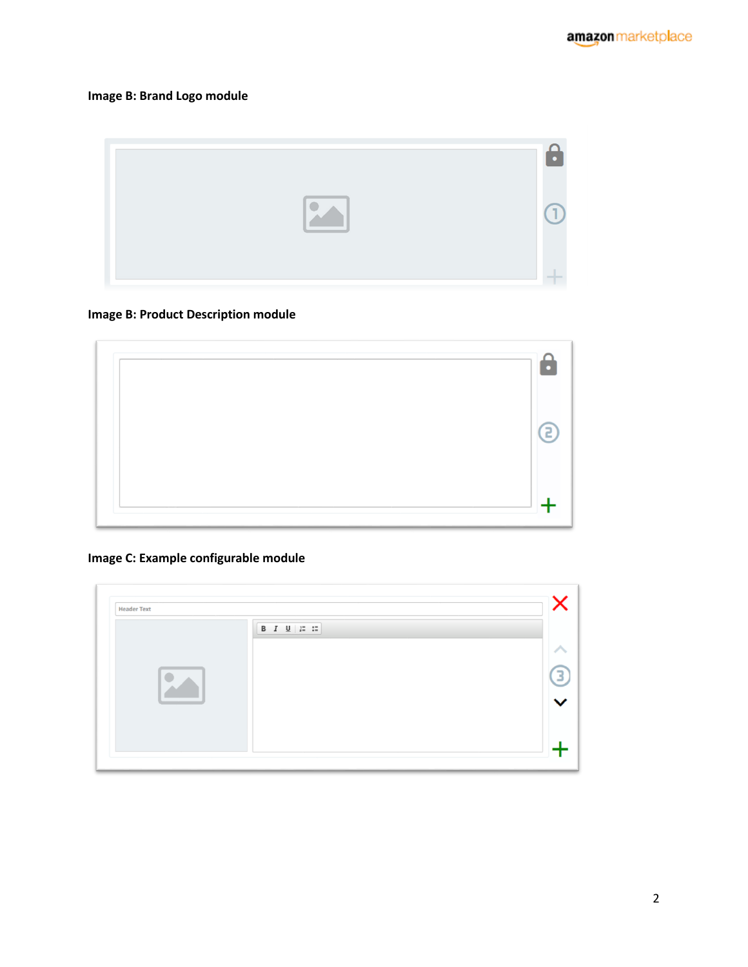### **Image B: Brand Logo module**

#### **Image B: Product Description module**



### **Image C: Example configurable module**

| B $I \cup \left  \begin{array}{c} \cdots \\ \cdots \end{array} \right $ |  |
|-------------------------------------------------------------------------|--|
|                                                                         |  |
|                                                                         |  |
|                                                                         |  |